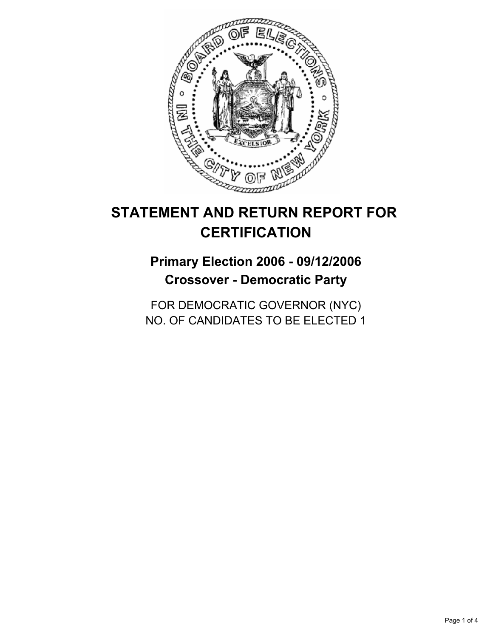

# **STATEMENT AND RETURN REPORT FOR CERTIFICATION**

## **Primary Election 2006 - 09/12/2006 Crossover - Democratic Party**

FOR DEMOCRATIC GOVERNOR (NYC) NO. OF CANDIDATES TO BE ELECTED 1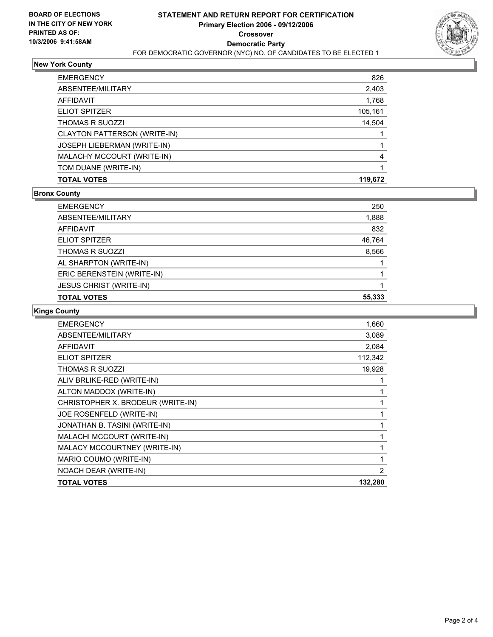

### **New York County**

| <b>EMERGENCY</b>                   | 826     |
|------------------------------------|---------|
| ABSENTEE/MILITARY                  | 2,403   |
| <b>AFFIDAVIT</b>                   | 1,768   |
| <b>ELIOT SPITZER</b>               | 105,161 |
| <b>THOMAS R SUOZZI</b>             | 14,504  |
| CLAYTON PATTERSON (WRITE-IN)       |         |
| <b>JOSEPH LIEBERMAN (WRITE-IN)</b> |         |
| MALACHY MCCOURT (WRITE-IN)         | 4       |
| TOM DUANE (WRITE-IN)               |         |
| <b>TOTAL VOTES</b>                 | 119,672 |

## **Bronx County**

| <b>EMERGENCY</b>               | 250    |
|--------------------------------|--------|
| ABSENTEE/MILITARY              | 1,888  |
| AFFIDAVIT                      | 832    |
| <b>ELIOT SPITZER</b>           | 46,764 |
| <b>THOMAS R SUOZZI</b>         | 8,566  |
| AL SHARPTON (WRITE-IN)         |        |
| ERIC BERENSTEIN (WRITE-IN)     |        |
| <b>JESUS CHRIST (WRITE-IN)</b> |        |
| <b>TOTAL VOTES</b>             | 55,333 |
|                                |        |

## **Kings County**

| <b>TOTAL VOTES</b>                | 132,280 |
|-----------------------------------|---------|
| NOACH DEAR (WRITE-IN)             | 2       |
| MARIO COUMO (WRITE-IN)            |         |
| MALACY MCCOURTNEY (WRITE-IN)      |         |
| MALACHI MCCOURT (WRITE-IN)        |         |
| JONATHAN B. TASINI (WRITE-IN)     |         |
| JOE ROSENFELD (WRITE-IN)          |         |
| CHRISTOPHER X. BRODEUR (WRITE-IN) |         |
| ALTON MADDOX (WRITE-IN)           |         |
| ALIV BRLIKE-RED (WRITE-IN)        |         |
| <b>THOMAS R SUOZZI</b>            | 19,928  |
| <b>ELIOT SPITZER</b>              | 112,342 |
| <b>AFFIDAVIT</b>                  | 2,084   |
| ABSENTEE/MILITARY                 | 3,089   |
| <b>EMERGENCY</b>                  | 1,660   |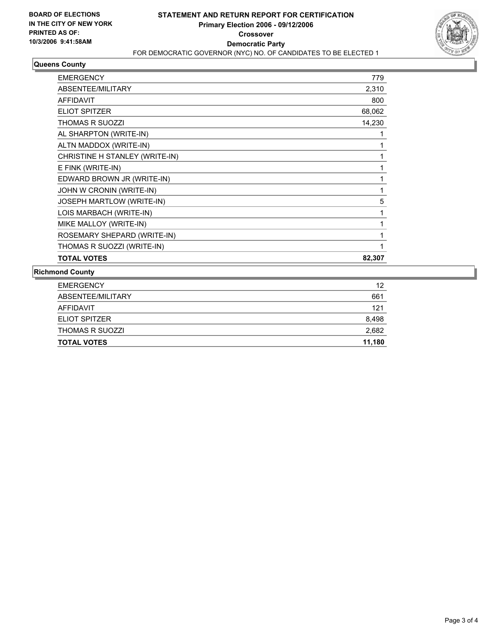

## **Queens County**

| <b>EMERGENCY</b>               | 779    |
|--------------------------------|--------|
| ABSENTEE/MILITARY              | 2,310  |
| <b>AFFIDAVIT</b>               | 800    |
| <b>ELIOT SPITZER</b>           | 68,062 |
| <b>THOMAS R SUOZZI</b>         | 14,230 |
| AL SHARPTON (WRITE-IN)         |        |
| ALTN MADDOX (WRITE-IN)         |        |
| CHRISTINE H STANLEY (WRITE-IN) |        |
| E FINK (WRITE-IN)              |        |
| EDWARD BROWN JR (WRITE-IN)     |        |
| JOHN W CRONIN (WRITE-IN)       |        |
| JOSEPH MARTLOW (WRITE-IN)      | 5      |
| LOIS MARBACH (WRITE-IN)        |        |
| MIKE MALLOY (WRITE-IN)         |        |
| ROSEMARY SHEPARD (WRITE-IN)    |        |
| THOMAS R SUOZZI (WRITE-IN)     |        |
| <b>TOTAL VOTES</b>             | 82,307 |

#### **Richmond County**

| <b>TOTAL VOTES</b>     | 11.180 |
|------------------------|--------|
| <b>THOMAS R SUOZZI</b> | 2,682  |
| ELIOT SPITZER          | 8,498  |
| AFFIDAVIT              | 121    |
| ABSENTEE/MILITARY      | 661    |
| <b>EMERGENCY</b>       | 12     |